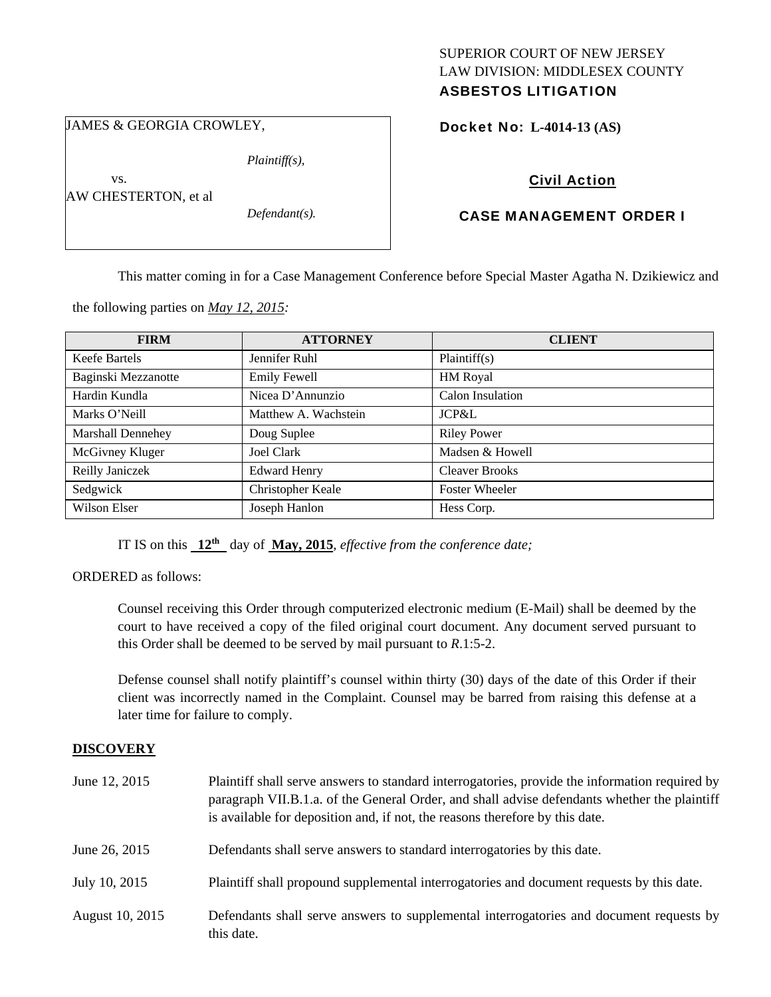# SUPERIOR COURT OF NEW JERSEY LAW DIVISION: MIDDLESEX COUNTY

## ASBESTOS LITIGATION

JAMES & GEORGIA CROWLEY,

*Plaintiff(s),* 

 vs. AW CHESTERTON, et al

*Defendant(s).* 

Docket No: **L-4014-13 (AS)** 

## Civil Action

### CASE MANAGEMENT ORDER I

This matter coming in for a Case Management Conference before Special Master Agatha N. Dzikiewicz and

the following parties on *May 12, 2015:* 

| <b>FIRM</b>              | <b>ATTORNEY</b>      | <b>CLIENT</b>         |
|--------------------------|----------------------|-----------------------|
| Keefe Bartels            | Jennifer Ruhl        | Plaintiff(s)          |
| Baginski Mezzanotte      | <b>Emily Fewell</b>  | <b>HM</b> Royal       |
| Hardin Kundla            | Nicea D'Annunzio     | Calon Insulation      |
| Marks O'Neill            | Matthew A. Wachstein | JCP&L                 |
| <b>Marshall Dennehey</b> | Doug Suplee          | <b>Riley Power</b>    |
| McGivney Kluger          | <b>Joel Clark</b>    | Madsen & Howell       |
| Reilly Janiczek          | <b>Edward Henry</b>  | <b>Cleaver Brooks</b> |
| Sedgwick                 | Christopher Keale    | <b>Foster Wheeler</b> |
| Wilson Elser             | Joseph Hanlon        | Hess Corp.            |

IT IS on this **12th** day of **May, 2015**, *effective from the conference date;*

#### ORDERED as follows:

Counsel receiving this Order through computerized electronic medium (E-Mail) shall be deemed by the court to have received a copy of the filed original court document. Any document served pursuant to this Order shall be deemed to be served by mail pursuant to *R*.1:5-2.

Defense counsel shall notify plaintiff's counsel within thirty (30) days of the date of this Order if their client was incorrectly named in the Complaint. Counsel may be barred from raising this defense at a later time for failure to comply.

#### **DISCOVERY**

| June 12, 2015   | Plaintiff shall serve answers to standard interrogatories, provide the information required by<br>paragraph VII.B.1.a. of the General Order, and shall advise defendants whether the plaintiff<br>is available for deposition and, if not, the reasons therefore by this date. |
|-----------------|--------------------------------------------------------------------------------------------------------------------------------------------------------------------------------------------------------------------------------------------------------------------------------|
| June 26, 2015   | Defendants shall serve answers to standard interrogatories by this date.                                                                                                                                                                                                       |
| July 10, 2015   | Plaintiff shall propound supplemental interrogatories and document requests by this date.                                                                                                                                                                                      |
| August 10, 2015 | Defendants shall serve answers to supplemental interrogatories and document requests by<br>this date.                                                                                                                                                                          |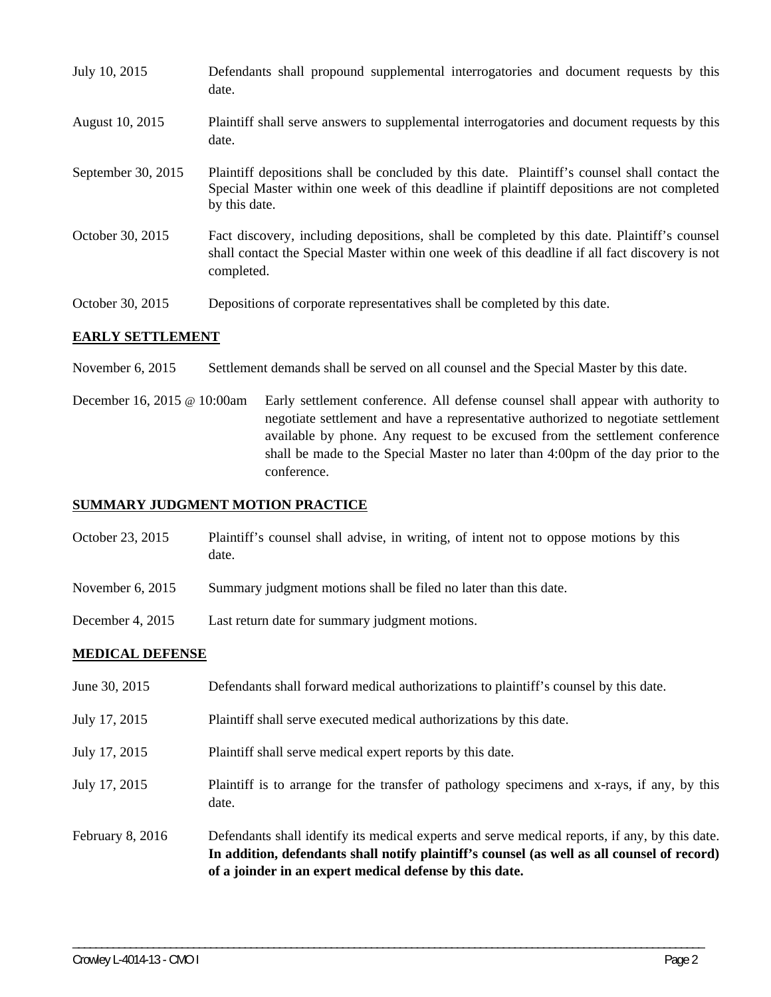| July 10, 2015      | Defendants shall propound supplemental interrogatories and document requests by this<br>date.                                                                                                               |
|--------------------|-------------------------------------------------------------------------------------------------------------------------------------------------------------------------------------------------------------|
| August 10, 2015    | Plaintiff shall serve answers to supplemental interrogatories and document requests by this<br>date.                                                                                                        |
| September 30, 2015 | Plaintiff depositions shall be concluded by this date. Plaintiff's counsel shall contact the<br>Special Master within one week of this deadline if plaintiff depositions are not completed<br>by this date. |
| October 30, 2015   | Fact discovery, including depositions, shall be completed by this date. Plaintiff's counsel<br>shall contact the Special Master within one week of this deadline if all fact discovery is not<br>completed. |
| October 30, 2015   | Depositions of corporate representatives shall be completed by this date.                                                                                                                                   |

#### **EARLY SETTLEMENT**

November 6, 2015 Settlement demands shall be served on all counsel and the Special Master by this date.

December 16, 2015 @ 10:00am Early settlement conference. All defense counsel shall appear with authority to negotiate settlement and have a representative authorized to negotiate settlement available by phone. Any request to be excused from the settlement conference shall be made to the Special Master no later than 4:00pm of the day prior to the conference.

#### **SUMMARY JUDGMENT MOTION PRACTICE**

- October 23, 2015 Plaintiff's counsel shall advise, in writing, of intent not to oppose motions by this date.
- November 6, 2015 Summary judgment motions shall be filed no later than this date.
- December 4, 2015 Last return date for summary judgment motions.

#### **MEDICAL DEFENSE**

- June 30, 2015 Defendants shall forward medical authorizations to plaintiff's counsel by this date.
- July 17, 2015 Plaintiff shall serve executed medical authorizations by this date.
- July 17, 2015 Plaintiff shall serve medical expert reports by this date.
- July 17, 2015 Plaintiff is to arrange for the transfer of pathology specimens and x-rays, if any, by this date.
- February 8, 2016 Defendants shall identify its medical experts and serve medical reports, if any, by this date. **In addition, defendants shall notify plaintiff's counsel (as well as all counsel of record) of a joinder in an expert medical defense by this date.**

\_\_\_\_\_\_\_\_\_\_\_\_\_\_\_\_\_\_\_\_\_\_\_\_\_\_\_\_\_\_\_\_\_\_\_\_\_\_\_\_\_\_\_\_\_\_\_\_\_\_\_\_\_\_\_\_\_\_\_\_\_\_\_\_\_\_\_\_\_\_\_\_\_\_\_\_\_\_\_\_\_\_\_\_\_\_\_\_\_\_\_\_\_\_\_\_\_\_\_\_\_\_\_\_\_\_\_\_\_\_